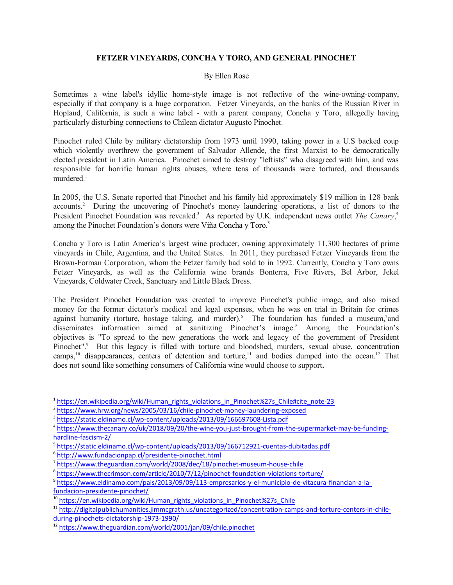## **FETZER VINEYARDS, CONCHA Y TORO, AND GENERAL PINOCHET**

## By Ellen Rose

Sometimes a wine label's idyllic home-style image is not reflective of the wine-owning-company, especially if that company is a huge corporation. Fetzer Vineyards, on the banks of the Russian River in Hopland, California, is such a wine label - with a parent company, Concha y Toro, allegedly having particularly disturbing connections to Chilean dictator Augusto Pinochet.

Pinochet ruled Chile by military dictatorship from 1973 until 1990, taking power in a U.S backed coup which violently overthrew the government of Salvador Allende, the first Marxist to be democratically elected president in Latin America. Pinochet aimed to destroy "leftists" who disagreed with him, and was responsible for horrific human rights abuses, where tens of thousands were tortured, and thousands murdered. 1

In 2005, the U.S. Senate reported that Pinochet and his family hid approximately \$19 million in 128 bank accounts.<sup>2</sup> During the uncovering of Pinochet's money laundering operations, a list of donors to the President Pinochet Foundation was revealed.<sup>3</sup> As reported by U.K. independent news outlet *The Canary*,<sup>4</sup> among the Pinochet Foundation's donors were Viña Concha y Toro. 5

Concha y Toro is Latin America's largest wine producer, owning approximately 11,300 hectares of prime vineyards in Chile, Argentina, and the United States. In 2011, they purchased Fetzer Vineyards from the Brown-Forman Corporation, whom the Fetzer family had sold to in 1992. Currently, Concha y Toro owns Fetzer Vineyards, as well as the California wine brands Bonterra, Five Rivers, Bel Arbor, Jekel Vineyards, Coldwater Creek, Sanctuary and Little Black Dress.

The President Pinochet Foundation was created to improve Pinochet's public image, and also raised money for the former dictator's medical and legal expenses, when he was on trial in Britain for crimes against humanity (torture, hostage taking, and murder). The foundation has funded a museum, and disseminates information aimed at sanitizing Pinochet's image. <sup>8</sup> Among the Foundation's objectives is "To spread to the new generations the work and legacy of the government of President Pinochet".<sup>9</sup> But this legacy is filled with torture and bloodshed, murders, sexual abuse, concentration camps,<sup>10</sup> disappearances, centers of detention and torture,<sup>11</sup> and bodies dumped into the ocean.<sup>12</sup> That does not sound like something consumers of California wine would choose to support**.**

<sup>&</sup>lt;sup>1</sup>https://en.wikipedia.org/wiki/Human\_rights\_violations\_in\_Pinochet%27s\_Chile#cite\_note-23

<sup>&</sup>lt;sup>2</sup> https://www.hrw.org/news/2005/03/16/chile-pinochet-money-laundering-exposed

<sup>&</sup>lt;sup>3</sup> https://static.eldinamo.cl/wp-content/uploads/2013/09/166697608-Lista.pdf

<sup>4</sup> https://www.thecanary.co/uk/2018/09/20/the-wine-you-just-brought-from-the-supermarket-may-be-fundinghardline-fascism-2/

<sup>5</sup> https://static.eldinamo.cl/wp-content/uploads/2013/09/166712921-cuentas-dubitadas.pdf

<sup>6</sup> http://www.fundacionpap.cl/presidente-pinochet.html

<sup>&</sup>lt;sup>7</sup> https://www.theguardian.com/world/2008/dec/18/pinochet-museum-house-chile

<sup>&</sup>lt;sup>8</sup>https://www.thecrimson.com/article/2010/7/12/pinochet-foundation-violations-torture/

<sup>9</sup> https://www.eldinamo.com/pais/2013/09/09/113-empresarios-y-el-municipio-de-vitacura-financian-a-lafundacion-presidente-pinochet/

<sup>&</sup>lt;sup>10</sup>https://en.wikipedia.org/wiki/Human\_rights\_violations\_in\_Pinochet%27s\_Chile

<sup>&</sup>lt;sup>11</sup> http://digitalpublichumanities.jimmcgrath.us/uncategorized/concentration-camps-and-torture-centers-in-chileduring-pinochets-dictatorship-1973-1990/

<sup>&</sup>lt;sup>12</sup> https://www.theguardian.com/world/2001/jan/09/chile.pinochet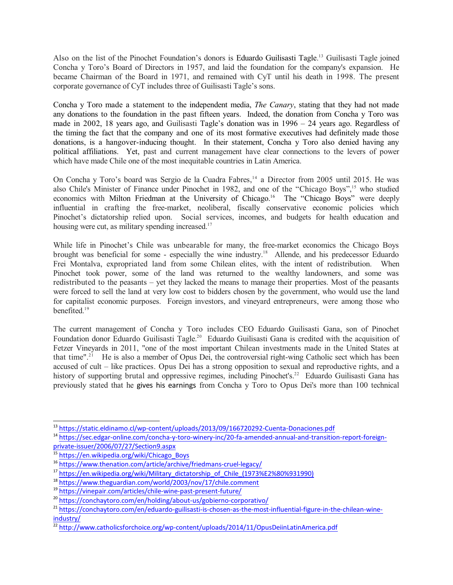Also on the list of the Pinochet Foundation's donors is Eduardo Guilisasti Tagle.<sup>13</sup> Guilisasti Tagle joined Concha y Toro's Board of Directors in 1957, and laid the foundation for the company's expansion. He became Chairman of the Board in 1971, and remained with CyT until his death in 1998. The present corporate governance of CyT includes three of Guilisasti Tagle's sons.

Concha y Toro made a statement to the independent media, *The Canary*, stating that they had not made any donations to the foundation in the past fifteen years. Indeed, the donation from Concha y Toro was made in 2002, 18 years ago, and Guilisasti Tagle's donation was in 1996 – 24 years ago. Regardless of the timing the fact that the company and one of its most formative executives had definitely made those donations, is a hangover-inducing thought. In their statement, Concha y Toro also denied having any political affiliations. Yet, past and current management have clear connections to the levers of power which have made Chile one of the most inequitable countries in Latin America.

On Concha y Toro's board was Sergio de la Cuadra Fabres, 14 a Director from 2005 until 2015. He was also Chile's Minister of Finance under Pinochet in 1982, and one of the "Chicago Boys", <sup>15</sup> who studied economics with Milton Friedman at the University of Chicago.<sup>16</sup> The "Chicago Boys" were deeply influential in crafting the free-market, neoliberal, fiscally conservative economic policies which Pinochet's dictatorship relied upon. Social services, incomes, and budgets for health education and housing were cut, as military spending increased.<sup>17</sup>

While life in Pinochet's Chile was unbearable for many, the free-market economics the Chicago Boys brought was beneficial for some - especially the wine industry. <sup>18</sup> Allende, and his predecessor Eduardo Frei Montalva, expropriated land from some Chilean elites, with the intent of redistribution. When Pinochet took power, some of the land was returned to the wealthy landowners, and some was redistributed to the peasants – yet they lacked the means to manage their properties. Most of the peasants were forced to sell the land at very low cost to bidders chosen by the government, who would use the land for capitalist economic purposes. Foreign investors, and vineyard entrepreneurs, were among those who benefited. 19

The current management of Concha y Toro includes CEO Eduardo Guilisasti Gana, son of Pinochet Foundation donor Eduardo Guilisasti Tagle.<sup>20</sup> Eduardo Guilisasti Gana is credited with the acquisition of Fetzer Vineyards in 2011, "one of the most important Chilean investments made in the United States at that time".<sup>21</sup> He is also a member of Opus Dei, the controversial right-wing Catholic sect which has been accused of cult – like practices. Opus Dei has a strong opposition to sexual and reproductive rights, and a history of supporting brutal and oppressive regimes, including Pinochet's.<sup>22</sup> Eduardo Guilisasti Gana has previously stated that he gives his earnings from Concha y Toro to Opus Dei's more than 100 technical

<sup>&</sup>lt;sup>13</sup> https://static.eldinamo.cl/wp-content/uploads/2013/09/166720292-Cuenta-Donaciones.pdf

<sup>&</sup>lt;sup>14</sup> https://sec.edgar-online.com/concha-y-toro-winery-inc/20-fa-amended-annual-and-transition-report-foreignprivate-issuer/2006/07/27/Section9.aspx

<sup>&</sup>lt;sup>15</sup> https://en.wikipedia.org/wiki/Chicago\_Boys

<sup>&</sup>lt;sup>16</sup> https://www.thenation.com/article/archive/friedmans-cruel-legacy/

<sup>&</sup>lt;sup>17</sup> https://en.wikipedia.org/wiki/Military\_dictatorship\_of\_Chile\_(1973%E2%80%931990)

<sup>&</sup>lt;sup>18</sup> https://www.theguardian.com/world/2003/nov/17/chile.comment

<sup>&</sup>lt;sup>19</sup> https://vinepair.com/articles/chile-wine-past-present-future/

<sup>&</sup>lt;sup>20</sup>https://conchaytoro.com/en/holding/about-us/gobierno-corporativo/

<sup>&</sup>lt;sup>21</sup> https://conchaytoro.com/en/eduardo-guilisasti-is-chosen-as-the-most-influential-figure-in-the-chilean-wineindustry/

<sup>&</sup>lt;sup>22</sup>http://www.catholicsforchoice.org/wp-content/uploads/2014/11/OpusDeiinLatinAmerica.pdf